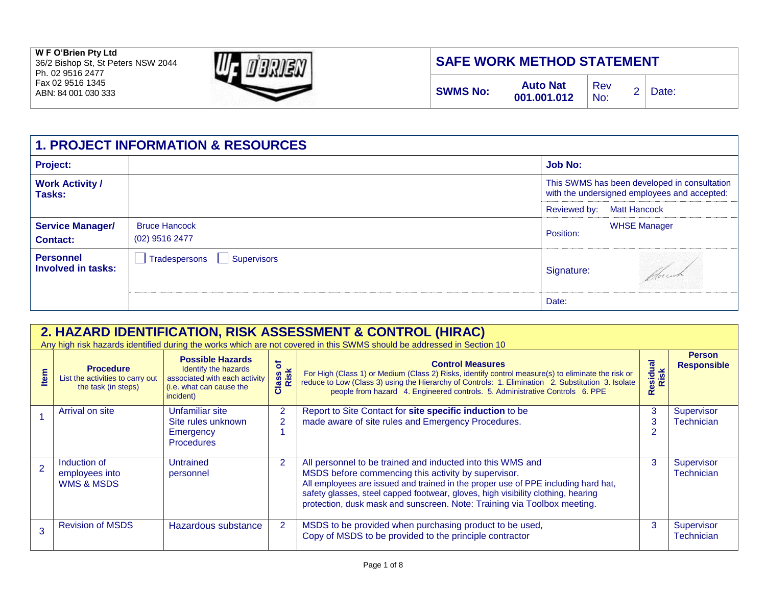**W F O'Brien Pty Ltd**  36/2 Bishop St, St Peters NSW 2044

Ph. 02 9516 2477 Fax 02 9516 1345 ABN: 84 001 030 333



## **SAFE WORK METHOD STATEMENT**

| <b>Auto Nat</b><br><b>SWMS No:</b><br>$001.001.012$ No: | $ $ Rev |  | 2   Date: |  |
|---------------------------------------------------------|---------|--|-----------|--|
|---------------------------------------------------------|---------|--|-----------|--|

| <b>1. PROJECT INFORMATION &amp; RESOURCES</b> |                                                |                                                                                              |                     |  |  |
|-----------------------------------------------|------------------------------------------------|----------------------------------------------------------------------------------------------|---------------------|--|--|
| <b>Project:</b>                               |                                                | <b>Job No:</b>                                                                               |                     |  |  |
| <b>Work Activity /</b><br>Tasks:              |                                                | This SWMS has been developed in consultation<br>with the undersigned employees and accepted: |                     |  |  |
|                                               |                                                | Reviewed by:                                                                                 | <b>Matt Hancock</b> |  |  |
| <b>Service Manager/</b><br><b>Contact:</b>    | <b>Bruce Hancock</b><br>$(02)$ 9516 2477       | Position:                                                                                    | <b>WHSE Manager</b> |  |  |
| <b>Personnel</b><br>Involved in tasks:        | Tradespersons<br>Supervisors<br>$\blacksquare$ | Signature:                                                                                   |                     |  |  |
|                                               |                                                | Date:                                                                                        |                     |  |  |

|      | 2. HAZARD IDENTIFICATION, RISK ASSESSMENT & CONTROL (HIRAC)<br>Any high risk hazards identified during the works which are not covered in this SWMS should be addressed in Section 10 |                                                                                                                           |                                  |                                                                                                                                                                                                                                                                                                                                                                        |                          |                                     |  |  |
|------|---------------------------------------------------------------------------------------------------------------------------------------------------------------------------------------|---------------------------------------------------------------------------------------------------------------------------|----------------------------------|------------------------------------------------------------------------------------------------------------------------------------------------------------------------------------------------------------------------------------------------------------------------------------------------------------------------------------------------------------------------|--------------------------|-------------------------------------|--|--|
| Item | <b>Procedure</b><br>List the activities to carry out<br>the task (in steps)                                                                                                           | <b>Possible Hazards</b><br>Identify the hazards<br>associated with each activity<br>(i.e. what can cause the<br>incident) | $\mathbf{a}$<br>Class c<br>Risk  | <b>Control Measures</b><br>For High (Class 1) or Medium (Class 2) Risks, identify control measure(s) to eliminate the risk or<br>reduce to Low (Class 3) using the Hierarchy of Controls: 1. Elimination 2. Substitution 3. Isolate<br>people from hazard 4. Engineered controls. 5. Administrative Controls 6. PPE                                                    | Residual<br>Risk         | <b>Person</b><br><b>Responsible</b> |  |  |
|      | Arrival on site                                                                                                                                                                       | Unfamiliar site<br>Site rules unknown<br>Emergency<br><b>Procedures</b>                                                   | $\overline{2}$<br>$\overline{2}$ | Report to Site Contact for site specific induction to be<br>made aware of site rules and Emergency Procedures.                                                                                                                                                                                                                                                         | 3<br>3<br>$\overline{2}$ | Supervisor<br><b>Technician</b>     |  |  |
|      | Induction of<br>employees into<br><b>WMS &amp; MSDS</b>                                                                                                                               | Untrained<br>personnel                                                                                                    | $\overline{2}$                   | All personnel to be trained and inducted into this WMS and<br>MSDS before commencing this activity by supervisor.<br>All employees are issued and trained in the proper use of PPE including hard hat,<br>safety glasses, steel capped footwear, gloves, high visibility clothing, hearing<br>protection, dusk mask and sunscreen. Note: Training via Toolbox meeting. | 3                        | Supervisor<br><b>Technician</b>     |  |  |
|      | <b>Revision of MSDS</b>                                                                                                                                                               | Hazardous substance                                                                                                       | 2                                | MSDS to be provided when purchasing product to be used,<br>Copy of MSDS to be provided to the principle contractor                                                                                                                                                                                                                                                     | 3                        | Supervisor<br><b>Technician</b>     |  |  |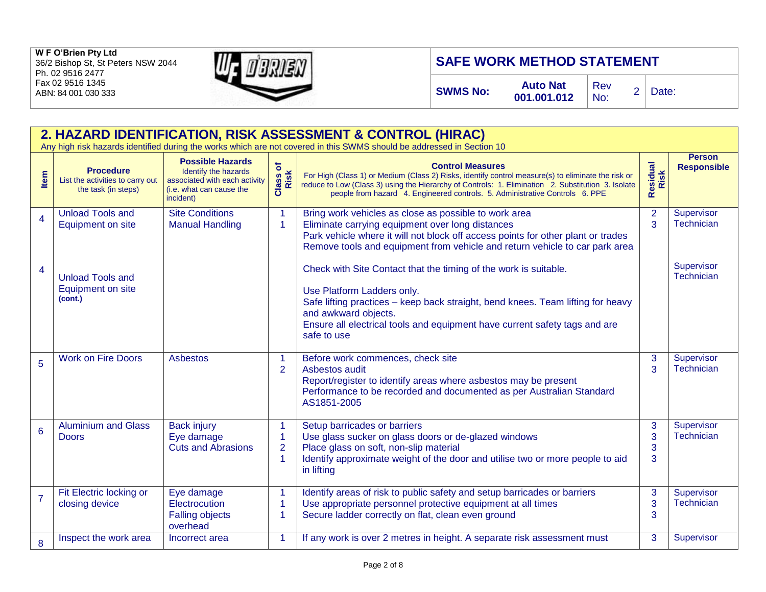

# **SAFE WORK METHOD STATEMENT**

**SWMS No: Auto Nat** 

**001.001.012** 

Rev

 $\begin{array}{cc} \text{New} \\ \text{No:} \end{array}$  2 | Date:

|                  | 2. HAZARD IDENTIFICATION, RISK ASSESSMENT & CONTROL (HIRAC)                 |                                                                                                                           |                               |                                                                                                                                                                                                                                                                                                                  |                     |                                     |  |  |  |
|------------------|-----------------------------------------------------------------------------|---------------------------------------------------------------------------------------------------------------------------|-------------------------------|------------------------------------------------------------------------------------------------------------------------------------------------------------------------------------------------------------------------------------------------------------------------------------------------------------------|---------------------|-------------------------------------|--|--|--|
|                  |                                                                             |                                                                                                                           |                               | Any high risk hazards identified during the works which are not covered in this SWMS should be addressed in Section 10                                                                                                                                                                                           |                     |                                     |  |  |  |
| Item             | <b>Procedure</b><br>List the activities to carry out<br>the task (in steps) | <b>Possible Hazards</b><br>Identify the hazards<br>associated with each activity<br>(i.e. what can cause the<br>incident) | Class of<br>Risk              | <b>Control Measures</b><br>For High (Class 1) or Medium (Class 2) Risks, identify control measure(s) to eliminate the risk or reduce to Low (Class 3) using the Hierarchy of Controls: 1. Elimination 2. Substitution 3. Isolate<br>people from hazard 4. Engineered controls. 5. Administrative Controls 6. PPE | Residual<br>Risk    | <b>Person</b><br><b>Responsible</b> |  |  |  |
| $\boldsymbol{4}$ | <b>Unload Tools and</b><br>Equipment on site                                | <b>Site Conditions</b><br><b>Manual Handling</b>                                                                          | 1<br>1                        | Bring work vehicles as close as possible to work area<br>Eliminate carrying equipment over long distances<br>Park vehicle where it will not block off access points for other plant or trades<br>Remove tools and equipment from vehicle and return vehicle to car park area                                     | $\overline{2}$<br>3 | Supervisor<br><b>Technician</b>     |  |  |  |
| $\overline{4}$   | <b>Unload Tools and</b><br>Equipment on site<br>(cont.)                     |                                                                                                                           |                               | Check with Site Contact that the timing of the work is suitable.<br>Use Platform Ladders only.<br>Safe lifting practices - keep back straight, bend knees. Team lifting for heavy<br>and awkward objects.<br>Ensure all electrical tools and equipment have current safety tags and are<br>safe to use           |                     | Supervisor<br><b>Technician</b>     |  |  |  |
| 5                | <b>Work on Fire Doors</b>                                                   | <b>Asbestos</b>                                                                                                           | 1<br>$\overline{2}$           | Before work commences, check site<br>Asbestos audit<br>Report/register to identify areas where asbestos may be present<br>Performance to be recorded and documented as per Australian Standard<br>AS1851-2005                                                                                                    | 3<br>3              | Supervisor<br><b>Technician</b>     |  |  |  |
| 6                | <b>Aluminium and Glass</b><br><b>Doors</b>                                  | <b>Back injury</b><br>Eye damage<br><b>Cuts and Abrasions</b>                                                             | 1<br>1<br>$\overline{2}$<br>1 | Setup barricades or barriers<br>Use glass sucker on glass doors or de-glazed windows<br>Place glass on soft, non-slip material<br>Identify approximate weight of the door and utilise two or more people to aid<br>in lifting                                                                                    | 3<br>3<br>3<br>3    | Supervisor<br><b>Technician</b>     |  |  |  |
| $\overline{7}$   | Fit Electric locking or<br>closing device                                   | Eye damage<br>Electrocution<br><b>Falling objects</b><br>overhead                                                         | 1<br>1<br>1                   | Identify areas of risk to public safety and setup barricades or barriers<br>Use appropriate personnel protective equipment at all times<br>Secure ladder correctly on flat, clean even ground                                                                                                                    | 3<br>3<br>3         | Supervisor<br>Technician            |  |  |  |
| 8                | Inspect the work area                                                       | Incorrect area                                                                                                            | 1                             | If any work is over 2 metres in height. A separate risk assessment must                                                                                                                                                                                                                                          | 3                   | Supervisor                          |  |  |  |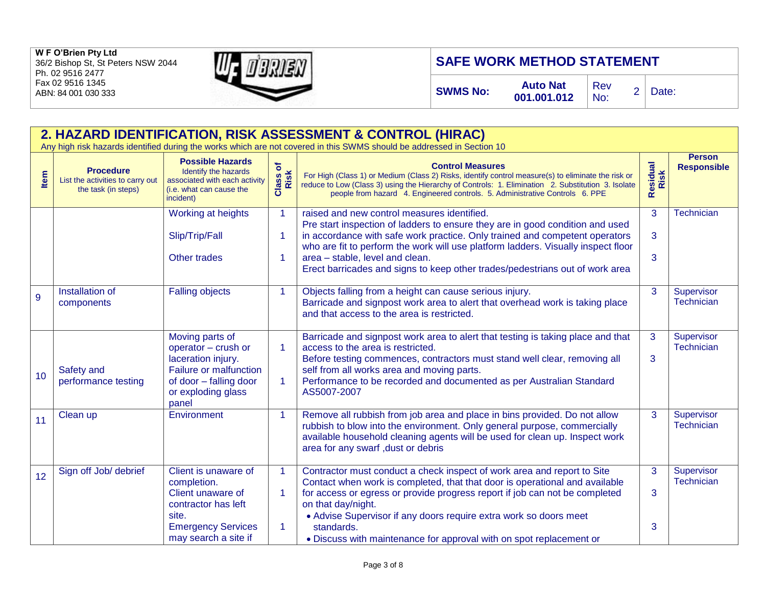

# **SAFE WORK METHOD STATEMENT**

**SWMS No: Auto Nat** 

**001.001.012** 

Rev

 $\begin{array}{cc} \text{New} \\ \text{No:} \end{array}$  2 Date:

|      | 2. HAZARD IDENTIFICATION, RISK ASSESSMENT & CONTROL (HIRAC)<br>Any high risk hazards identified during the works which are not covered in this SWMS should be addressed in Section 10 |                                                                                                                                                 |                            |                                                                                                                                                                                                                                                                                                                                                                                                                     |                  |                                     |  |
|------|---------------------------------------------------------------------------------------------------------------------------------------------------------------------------------------|-------------------------------------------------------------------------------------------------------------------------------------------------|----------------------------|---------------------------------------------------------------------------------------------------------------------------------------------------------------------------------------------------------------------------------------------------------------------------------------------------------------------------------------------------------------------------------------------------------------------|------------------|-------------------------------------|--|
| Item | <b>Procedure</b><br>List the activities to carry out<br>the task (in steps)                                                                                                           | <b>Possible Hazards</b><br>Identify the hazards<br>associated with each activity<br>(i.e. what can cause the<br>incident)                       | Class of<br>Risk           | <b>Control Measures</b><br>For High (Class 1) or Medium (Class 2) Risks, identify control measure(s) to eliminate the risk or<br>reduce to Low (Class 3) using the Hierarchy of Controls: 1. Elimination 2. Substitution 3. Isolate<br>people from hazard 4. Engineered controls. 5. Administrative Controls 6. PPE                                                                                                 | Residual<br>Risk | <b>Person</b><br><b>Responsible</b> |  |
|      |                                                                                                                                                                                       | Working at heights<br>Slip/Trip/Fall<br><b>Other trades</b>                                                                                     | $\overline{1}$<br>-1<br>-1 | raised and new control measures identified.<br>Pre start inspection of ladders to ensure they are in good condition and used<br>in accordance with safe work practice. Only trained and competent operators<br>who are fit to perform the work will use platform ladders. Visually inspect floor<br>area - stable, level and clean.<br>Erect barricades and signs to keep other trades/pedestrians out of work area | 3<br>3<br>3      | Technician                          |  |
| 9    | Installation of<br>components                                                                                                                                                         | <b>Falling objects</b>                                                                                                                          | $\overline{1}$             | Objects falling from a height can cause serious injury.<br>Barricade and signpost work area to alert that overhead work is taking place<br>and that access to the area is restricted.                                                                                                                                                                                                                               | 3                | Supervisor<br><b>Technician</b>     |  |
| 10   | Safety and<br>performance testing                                                                                                                                                     | Moving parts of<br>operator - crush or<br>laceration injury.<br>Failure or malfunction<br>of door - falling door<br>or exploding glass<br>panel | -1<br>$\mathbf 1$          | Barricade and signpost work area to alert that testing is taking place and that<br>access to the area is restricted.<br>Before testing commences, contractors must stand well clear, removing all<br>self from all works area and moving parts.<br>Performance to be recorded and documented as per Australian Standard<br>AS5007-2007                                                                              | 3<br>3           | Supervisor<br><b>Technician</b>     |  |
| 11   | Clean up                                                                                                                                                                              | Environment                                                                                                                                     | $\overline{1}$             | Remove all rubbish from job area and place in bins provided. Do not allow<br>rubbish to blow into the environment. Only general purpose, commercially<br>available household cleaning agents will be used for clean up. Inspect work<br>area for any swarf, dust or debris                                                                                                                                          | 3                | Supervisor<br><b>Technician</b>     |  |
| 12   | Sign off Job/ debrief                                                                                                                                                                 | Client is unaware of<br>completion.<br>Client unaware of<br>contractor has left                                                                 | $\mathbf 1$<br>1           | Contractor must conduct a check inspect of work area and report to Site<br>Contact when work is completed, that that door is operational and available<br>for access or egress or provide progress report if job can not be completed<br>on that day/night.                                                                                                                                                         | 3<br>3           | Supervisor<br><b>Technician</b>     |  |
|      |                                                                                                                                                                                       | site.<br><b>Emergency Services</b><br>may search a site if                                                                                      | -1                         | • Advise Supervisor if any doors require extra work so doors meet<br>standards.<br>• Discuss with maintenance for approval with on spot replacement or                                                                                                                                                                                                                                                              | 3                |                                     |  |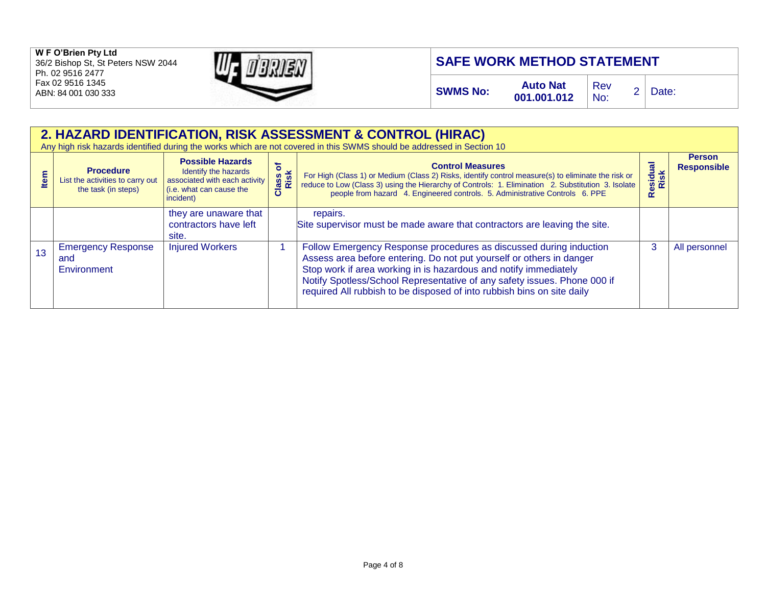

# **SAFE WORK METHOD STATEMENT**

**SWMS No: Auto Nat** 

**001.001.012** 

Rev

 $\begin{array}{cc} \text{New} \\ \text{No:} \end{array}$  2 Date:

|     | 2. HAZARD IDENTIFICATION, RISK ASSESSMENT & CONTROL (HIRAC)<br>Any high risk hazards identified during the works which are not covered in this SWMS should be addressed in Section 10 |                                                                                                                                  |                      |                                                                                                                                                                                                                                                                                                                                                                      |                  |                                     |  |
|-----|---------------------------------------------------------------------------------------------------------------------------------------------------------------------------------------|----------------------------------------------------------------------------------------------------------------------------------|----------------------|----------------------------------------------------------------------------------------------------------------------------------------------------------------------------------------------------------------------------------------------------------------------------------------------------------------------------------------------------------------------|------------------|-------------------------------------|--|
| tem | <b>Procedure</b><br>List the activities to carry out<br>the task (in steps)                                                                                                           | <b>Possible Hazards</b><br>Identify the hazards<br>associated with each activity<br>$\int$ (i.e. what can cause the<br>incident) | ð<br>Class c<br>Risk | <b>Control Measures</b><br>For High (Class 1) or Medium (Class 2) Risks, identify control measure(s) to eliminate the risk or<br>reduce to Low (Class 3) using the Hierarchy of Controls: 1. Elimination 2. Substitution 3. Isolate<br>people from hazard 4. Engineered controls. 5. Administrative Controls 6. PPE                                                  | Residual<br>Risk | <b>Person</b><br><b>Responsible</b> |  |
|     |                                                                                                                                                                                       | they are unaware that<br>contractors have left<br>site.                                                                          |                      | repairs.<br>Site supervisor must be made aware that contractors are leaving the site.                                                                                                                                                                                                                                                                                |                  |                                     |  |
| 13  | <b>Emergency Response</b><br>and<br>Environment                                                                                                                                       | <b>Injured Workers</b>                                                                                                           |                      | Follow Emergency Response procedures as discussed during induction<br>Assess area before entering. Do not put yourself or others in danger<br>Stop work if area working in is hazardous and notify immediately<br>Notify Spotless/School Representative of any safety issues. Phone 000 if<br>required All rubbish to be disposed of into rubbish bins on site daily | 3                | All personnel                       |  |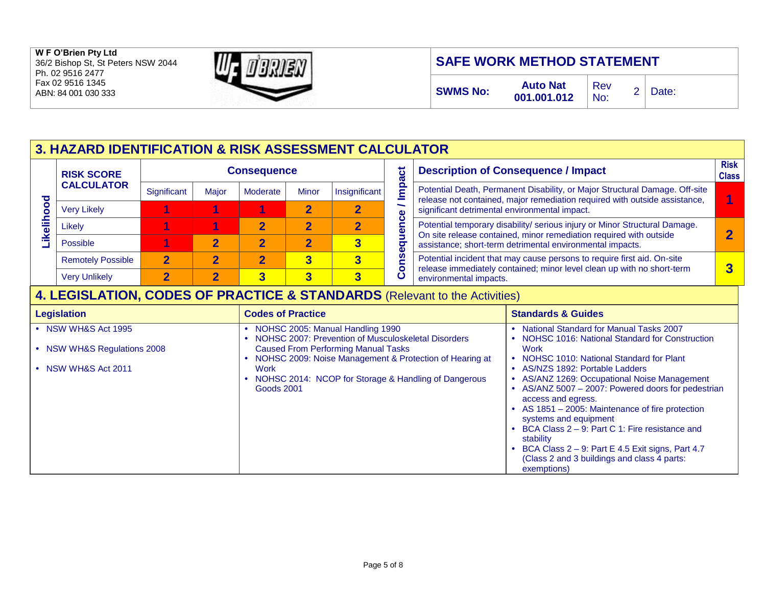#### **W F O'Brien Pty Ltd**  36/2 Bishop St, St Peters NSW 2044

Ph. 02 9516 2477 Fax 02 9516 1345 ABN: 84 001 030 333



# **SAFE WORK METHOD STATEMENT**

## **3. HAZARD IDENTIFICATION & RISK ASSESSMENT CALCULATOR**

|               | <b>RISK SCORE</b>        |             | ಕ     | <b>Desc</b> |              |               |                |                   |
|---------------|--------------------------|-------------|-------|-------------|--------------|---------------|----------------|-------------------|
| ਹ             | <b>CALCULATOR</b>        | Significant | Major | Moderate    | <b>Minor</b> | Insignificant | mpa            | Poten             |
| O<br>O        | <b>Very Likely</b>       |             |       |             |              |               | ∼              | releas<br>signifi |
| ∽<br><u>g</u> | Likely                   |             |       |             |              |               | uence          | Poten             |
| $\sim$        | <b>Possible</b>          |             |       |             |              | 3             | $\overline{q}$ | On sit<br>assist  |
|               | <b>Remotely Possible</b> | $\mathbf 2$ |       | 2           | 3            | 3             | ğ              | Poten             |
|               | <b>Very Unlikely</b>     | ◠           | 2     |             | 3            | 3             | $\bullet$<br>Ō | releas<br>enviro  |

#### **Description of Consequence / Impact Risk Class** tial Death, Permanent Disability, or Major Structural Damage. Off-site re not contained, major remediation required with outside assistance, cant detrimental environmental impact. **1** Likely **1 1 2 2 2** Potential temporary disability/ serious injury or Minor Structural Damage. te release contained, minor remediation required with outside tance; short-term detrimental environmental impacts. **2** tial incident that may cause persons to require first aid. On-site re immediately contained; minor level clean up with no short-term onmental impacts. **3**

### **4. LEGISLATION, CODES OF PRACTICE & STANDARDS** (Relevant to the Activities)

| <b>Legislation</b>                   | <b>Codes of Practice</b>                                | <b>Standards &amp; Guides</b>                       |
|--------------------------------------|---------------------------------------------------------|-----------------------------------------------------|
| NSW WH&S Act 1995                    | NOHSC 2005: Manual Handling 1990                        | <b>National Standard for Manual Tasks 2007</b>      |
|                                      | NOHSC 2007: Prevention of Musculoskeletal Disorders     | • NOHSC 1016: National Standard for Construction    |
| <b>NSW WH&amp;S Regulations 2008</b> | <b>Caused From Performing Manual Tasks</b>              | Work                                                |
|                                      | NOHSC 2009: Noise Management & Protection of Hearing at | NOHSC 1010: National Standard for Plant             |
| NSW WH&S Act 2011                    | Work                                                    | • AS/NZS 1892: Portable Ladders                     |
|                                      | NOHSC 2014: NCOP for Storage & Handling of Dangerous    | • AS/ANZ 1269: Occupational Noise Management        |
|                                      | <b>Goods 2001</b>                                       | • AS/ANZ 5007 - 2007: Powered doors for pedestrian  |
|                                      |                                                         | access and egress.                                  |
|                                      |                                                         | • AS 1851 – 2005: Maintenance of fire protection    |
|                                      |                                                         | systems and equipment                               |
|                                      |                                                         | BCA Class 2 – 9: Part C 1: Fire resistance and      |
|                                      |                                                         | stability                                           |
|                                      |                                                         | BCA Class $2 - 9$ : Part E 4.5 Exit signs, Part 4.7 |
|                                      |                                                         | (Class 2 and 3 buildings and class 4 parts:         |
|                                      |                                                         | exemptions)                                         |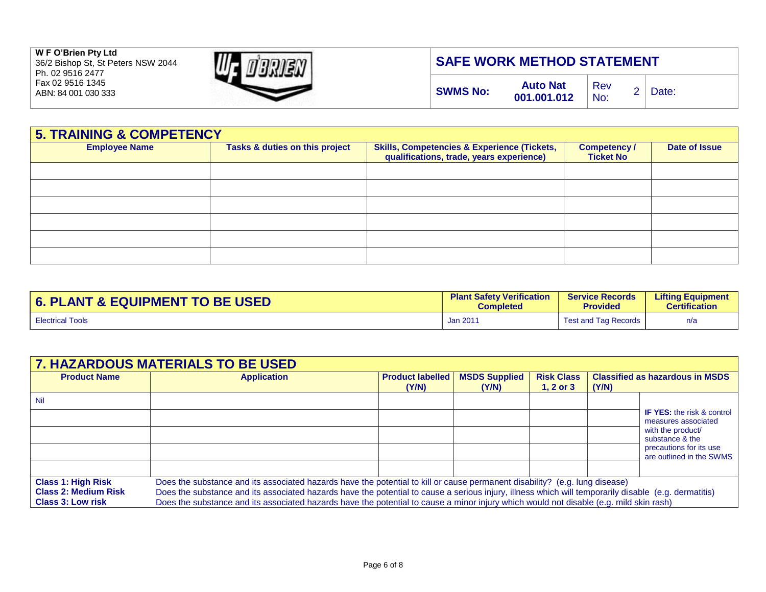

## **SAFE WORK METHOD STATEMENT**

| <b>5. TRAINING &amp; COMPETENCY</b> |                                |                                                                                                    |                                        |  |  |  |  |  |
|-------------------------------------|--------------------------------|----------------------------------------------------------------------------------------------------|----------------------------------------|--|--|--|--|--|
| <b>Employee Name</b>                | Tasks & duties on this project | <b>Skills, Competencies &amp; Experience (Tickets,</b><br>qualifications, trade, years experience) | <b>Competency/</b><br><b>Ticket No</b> |  |  |  |  |  |
|                                     |                                |                                                                                                    |                                        |  |  |  |  |  |
|                                     |                                |                                                                                                    |                                        |  |  |  |  |  |
|                                     |                                |                                                                                                    |                                        |  |  |  |  |  |
|                                     |                                |                                                                                                    |                                        |  |  |  |  |  |
|                                     |                                |                                                                                                    |                                        |  |  |  |  |  |
|                                     |                                |                                                                                                    |                                        |  |  |  |  |  |

| <b>6. PLANT &amp; EQUIPMENT TO BE USED</b> | <b>Plant Safety Verification</b> | <b>Service Records</b>      | <b>Lifting Equipment</b> |
|--------------------------------------------|----------------------------------|-----------------------------|--------------------------|
|                                            | <b>Completed</b>                 | <b>Provided</b>             | <b>Certification</b>     |
| <b>Electrical Tools</b>                    | Jan 2011                         | <b>Test and Tag Records</b> | n/a                      |

| <b>7. HAZARDOUS MATERIALS TO BE USED</b>                                             |                                                                                                                                                                                                                                                                                                                                                                                                                               |                                  |                               |                                    |                                                 |                                                                                                                                                         |  |
|--------------------------------------------------------------------------------------|-------------------------------------------------------------------------------------------------------------------------------------------------------------------------------------------------------------------------------------------------------------------------------------------------------------------------------------------------------------------------------------------------------------------------------|----------------------------------|-------------------------------|------------------------------------|-------------------------------------------------|---------------------------------------------------------------------------------------------------------------------------------------------------------|--|
| <b>Product Name</b>                                                                  | <b>Application</b>                                                                                                                                                                                                                                                                                                                                                                                                            | <b>Product labelled</b><br>(Y/N) | <b>MSDS Supplied</b><br>(Y/N) | <b>Risk Class</b><br>1, $2$ or $3$ | <b>Classified as hazardous in MSDS</b><br>(Y/N) |                                                                                                                                                         |  |
| Nil                                                                                  |                                                                                                                                                                                                                                                                                                                                                                                                                               |                                  |                               |                                    |                                                 | <b>IF YES:</b> the risk & control<br>measures associated<br>with the product/<br>substance & the<br>precautions for its use<br>are outlined in the SWMS |  |
| <b>Class 1: High Risk</b><br><b>Class 2: Medium Risk</b><br><b>Class 3: Low risk</b> | Does the substance and its associated hazards have the potential to kill or cause permanent disability? (e.g. lung disease)<br>Does the substance and its associated hazards have the potential to cause a serious injury, illness which will temporarily disable (e.g. dermatitis)<br>Does the substance and its associated hazards have the potential to cause a minor injury which would not disable (e.g. mild skin rash) |                                  |                               |                                    |                                                 |                                                                                                                                                         |  |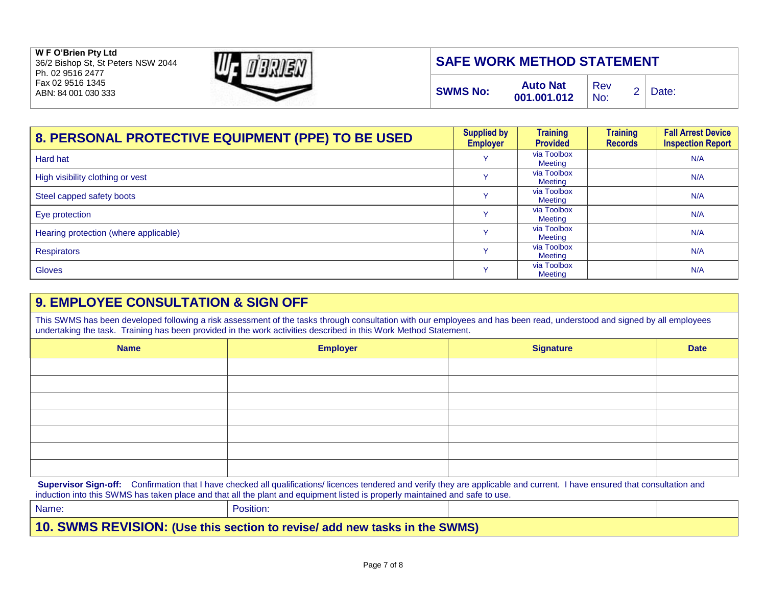**W F O'Brien Pty Ltd**  36/2 Bishop St, St Peters NSW 2044 Ph. 02 9516 2477 Fax 02 9516 1345

ABN: 84 001 030 333



## **SAFE WORK METHOD STATEMENT**

| <b>Auto Nat</b><br><b>SWMS No:</b><br>001.001.012 | Rev<br>No: | Date: |
|---------------------------------------------------|------------|-------|
|---------------------------------------------------|------------|-------|

| 8. PERSONAL PROTECTIVE EQUIPMENT (PPE) TO BE USED | <b>Supplied by</b><br><b>Employer</b> | <b>Training</b><br><b>Provided</b> | <b>Training</b><br><b>Records</b> | <b>Fall Arrest Device</b><br><b>Inspection Report</b> |
|---------------------------------------------------|---------------------------------------|------------------------------------|-----------------------------------|-------------------------------------------------------|
| Hard hat                                          |                                       | via Toolbox<br>Meeting             |                                   | N/A                                                   |
| High visibility clothing or vest                  |                                       | via Toolbox<br>Meeting             |                                   | N/A                                                   |
| Steel capped safety boots                         |                                       | via Toolbox<br>Meeting             |                                   | N/A                                                   |
| Eye protection                                    |                                       | via Toolbox<br>Meeting             |                                   | N/A                                                   |
| Hearing protection (where applicable)             |                                       | via Toolbox<br>Meeting             |                                   | N/A                                                   |
| <b>Respirators</b>                                | $\checkmark$                          | via Toolbox<br>Meeting             |                                   | N/A                                                   |
| <b>Gloves</b>                                     | $\checkmark$                          | via Toolbox<br>Meeting             |                                   | N/A                                                   |

### **9. EMPLOYEE CONSULTATION & SIGN OFF**

This SWMS has been developed following a risk assessment of the tasks through consultation with our employees and has been read, understood and signed by all employees undertaking the task. Training has been provided in the work activities described in this Work Method Statement.

| <b>Name</b> | <b>Employer</b> | <b>Signature</b> | <b>Date</b> |
|-------------|-----------------|------------------|-------------|
|             |                 |                  |             |
|             |                 |                  |             |
|             |                 |                  |             |
|             |                 |                  |             |
|             |                 |                  |             |
|             |                 |                  |             |
|             |                 |                  |             |

Supervisor Sign-off: Confirmation that I have checked all qualifications/ licences tendered and verify they are applicable and current. I have ensured that consultation and induction into this SWMS has taken place and that all the plant and equipment listed is properly maintained and safe to use.

| Name:                                                                      | Position: |  |  |  |  |
|----------------------------------------------------------------------------|-----------|--|--|--|--|
| 10. SWMS REVISION: (Use this section to revise/ add new tasks in the SWMS) |           |  |  |  |  |